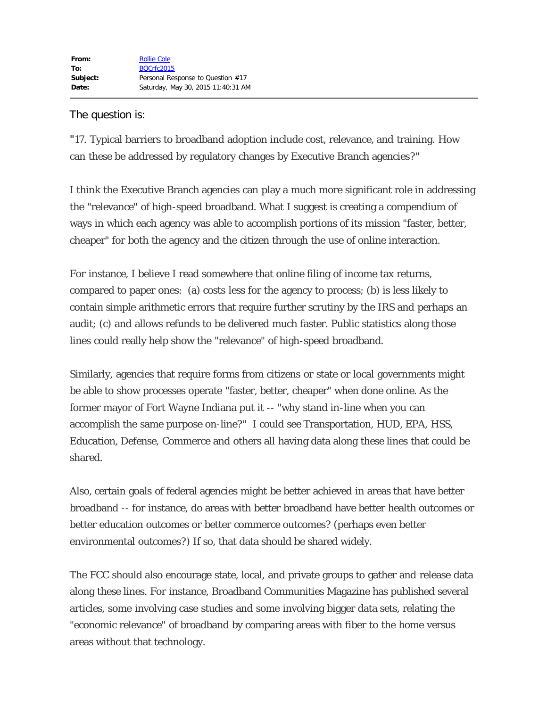## The question is:

"17. Typical barriers to broadband adoption include cost, relevance, and training. How can these be addressed by regulatory changes by Executive Branch agencies?"

I think the Executive Branch agencies can play a much more significant role in addressing the "relevance" of high-speed broadband. What I suggest is creating a compendium of ways in which each agency was able to accomplish portions of its mission "faster, better, cheaper" for both the agency and the citizen through the use of online interaction.

For instance, I believe I read somewhere that online filing of income tax returns, compared to paper ones: (a) costs less for the agency to process; (b) is less likely to contain simple arithmetic errors that require further scrutiny by the IRS and perhaps an audit; (c) and allows refunds to be delivered much faster. Public statistics along those lines could really help show the "relevance" of high-speed broadband.

Similarly, agencies that require forms from citizens or state or local governments might be able to show processes operate "faster, better, cheaper" when done online. As the former mayor of Fort Wayne Indiana put it -- "why stand in-line when you can accomplish the same purpose on-line?" I could see Transportation, HUD, EPA, HSS, Education, Defense, Commerce and others all having data along these lines that could be shared.

Also, certain goals of federal agencies might be better achieved in areas that have better broadband -- for instance, do areas with better broadband have better health outcomes or better education outcomes or better commerce outcomes? (perhaps even better environmental outcomes?) If so, that data should be shared widely.

The FCC should also encourage state, local, and private groups to gather and release data along these lines. For instance, Broadband Communities Magazine has published several articles, some involving case studies and some involving bigger data sets, relating the "economic relevance" of broadband by comparing areas with fiber to the home versus areas without that technology.